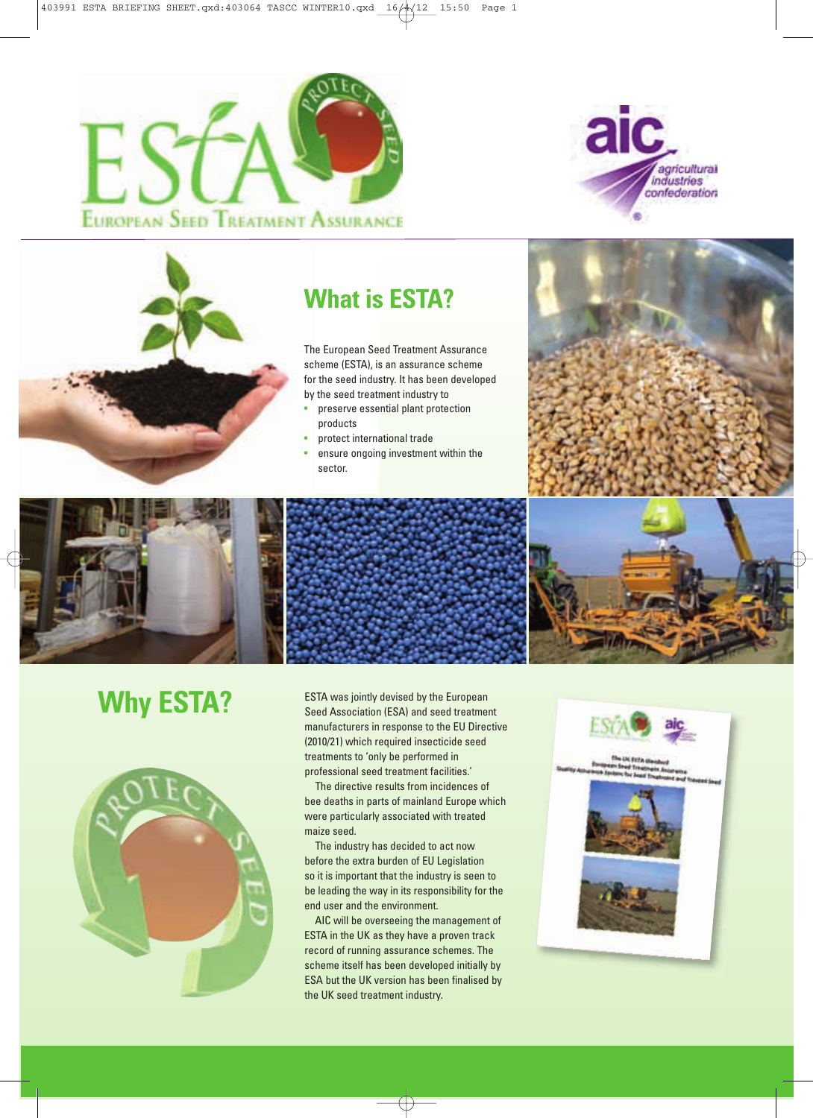





## **What is ESTA?**

The European Seed Treatment Assurance scheme (ESTA), is an assurance scheme for the seed industry. It has been developed by the seed treatment industry to

- preserve essential plant protection products
- protect international trade
- ensure ongoing investment within the sector.









**Why ESTA?** ESTA was jointly devised by the European Seed Association (ESA) and seed treatme Seed Association (ESA) and seed treatment manufacturers in response to the EU Directive (2010/21) which required insecticide seed treatments to 'only be performed in professional seed treatment facilities.'

> The directive results from incidences of bee deaths in parts of mainland Europe which were particularly associated with treated maize seed.

The industry has decided to act now before the extra burden of EU Legislation so it is important that the industry is seen to be leading the way in its responsibility for the end user and the environment.

AIC will be overseeing the management of ESTA in the UK as they have a proven track record of running assurance schemes. The scheme itself has been developed initially by ESA but the UK version has been finalised by the UK seed treatment industry.